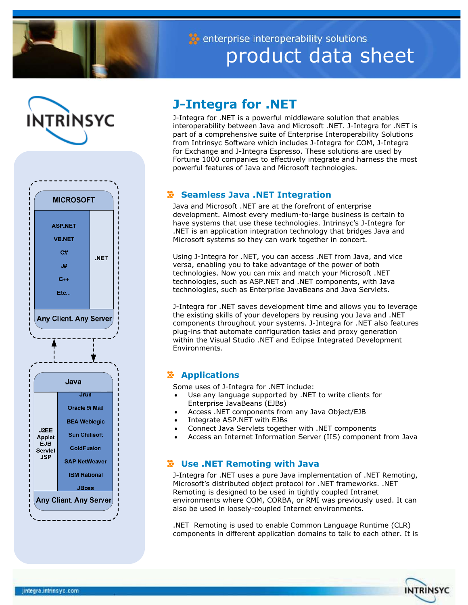

enterprise interoperability solutions product data sheet





# **J-Integra for .NET**

J-Integra for .NET is a powerful middleware solution that enables interoperability between Java and Microsoft .NET. J-Integra for .NET is part of a comprehensive suite of Enterprise Interoperability Solutions from Intrinsyc Software which includes J-Integra for COM, J-Integra for Exchange and J-Integra Espresso. These solutions are used by Fortune 1000 companies to effectively integrate and harness the most powerful features of Java and Microsoft technologies.

# **Seamless Java .NET Integration**

Java and Microsoft .NET are at the forefront of enterprise development. Almost every medium-to-large business is certain to have systems that use these technologies. Intrinsyc's J-Integra for .NET is an application integration technology that bridges Java and Microsoft systems so they can work together in concert.

Using J-Integra for .NET, you can access .NET from Java, and vice versa, enabling you to take advantage of the power of both technologies. Now you can mix and match your Microsoft .NET technologies, such as ASP.NET and .NET components, with Java technologies, such as Enterprise JavaBeans and Java Servlets.

J-Integra for .NET saves development time and allows you to leverage the existing skills of your developers by reusing you Java and .NET components throughout your systems. J-Integra for .NET also features plug-ins that automate configuration tasks and proxy generation within the Visual Studio .NET and Eclipse Integrated Development Environments.

# **Applications**

Some uses of J-Integra for .NET include:

- Use any language supported by .NET to write clients for Enterprise JavaBeans (EJBs)
- Access .NET components from any Java Object/EJB
- Integrate ASP.NET with EJBs
- Connect Java Servlets together with .NET components
- Access an Internet Information Server (IIS) component from Java

# **Use .NET Remoting with Java**

J-Integra for .NET uses a pure Java implementation of .NET Remoting, Microsoft's distributed object protocol for .NET frameworks. .NET Remoting is designed to be used in tightly coupled Intranet environments where COM, CORBA, or RMI was previously used. It can also be used in loosely-coupled Internet environments.

.NET Remoting is used to enable Common Language Runtime (CLR) components in different application domains to talk to each other. It is